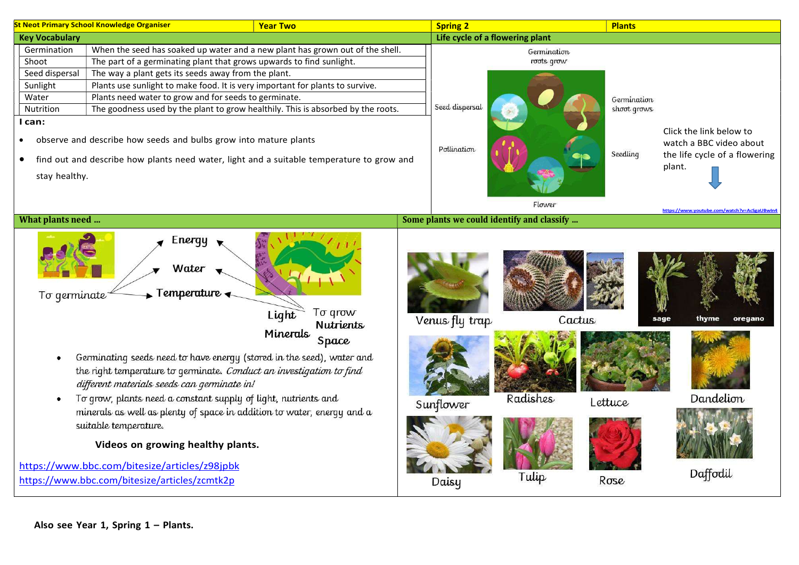